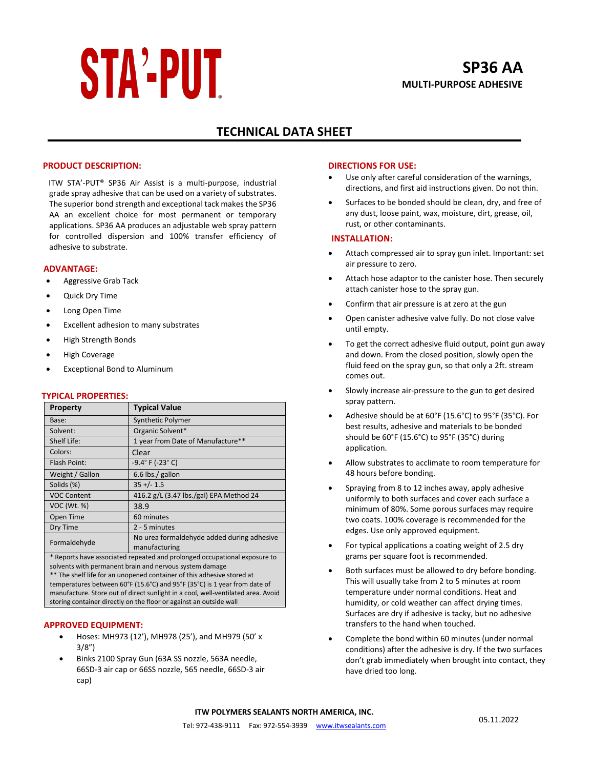# **STA'-PUT**

# **TECHNICAL DATA SHEET**

#### **PRODUCT DESCRIPTION:**

ITW STA'-PUT® SP36 Air Assist is a multi-purpose, industrial grade spray adhesive that can be used on a variety of substrates. The superior bond strength and exceptional tack makes the SP36 AA an excellent choice for most permanent or temporary applications. SP36 AA produces an adjustable web spray pattern for controlled dispersion and 100% transfer efficiency of adhesive to substrate.

#### **ADVANTAGE:**

- Aggressive Grab Tack
- Quick Dry Time
- Long Open Time
- Excellent adhesion to many substrates
- High Strength Bonds
- High Coverage
- Exceptional Bond to Aluminum

#### **TYPICAL PROPERTIES:**

| <b>Property</b>    | <b>Typical Value</b>                                        |
|--------------------|-------------------------------------------------------------|
| Base:              | <b>Synthetic Polymer</b>                                    |
| Solvent:           | Organic Solvent*                                            |
| Shelf Life:        | 1 year from Date of Manufacture**                           |
| Colors:            | Clear                                                       |
| Flash Point:       | $-9.4^{\circ}$ F ( $-23^{\circ}$ C)                         |
| Weight / Gallon    | 6.6 lbs./ gallon                                            |
| Solids (%)         | $35 +/- 1.5$                                                |
| <b>VOC Content</b> | 416.2 g/L (3.47 lbs./gal) EPA Method 24                     |
| VOC (Wt. %)        | 38.9                                                        |
| Open Time          | 60 minutes                                                  |
| Dry Time           | 2 - 5 minutes                                               |
| Formaldehyde       | No urea formaldehyde added during adhesive<br>manufacturing |

\* Reports have associated repeated and prolonged occupational exposure to solvents with permanent brain and nervous system damage \*\* The shelf life for an unopened container of this adhesive stored at temperatures between 60°F (15.6°C) and 95°F (35°C) is 1 year from date of manufacture. Store out of direct sunlight in a cool, well-ventilated area. Avoid storing container directly on the floor or against an outside wall

#### **APPROVED EQUIPMENT:**

- Hoses: MH973 (12'), MH978 (25'), and MH979 (50' x 3/8")
- Binks 2100 Spray Gun (63A SS nozzle, 563A needle, 66SD-3 air cap or 66SS nozzle, 565 needle, 66SD-3 air cap)

#### **DIRECTIONS FOR USE:**

- Use only after careful consideration of the warnings, directions, and first aid instructions given. Do not thin.
- Surfaces to be bonded should be clean, dry, and free of any dust, loose paint, wax, moisture, dirt, grease, oil, rust, or other contaminants.

#### **INSTALLATION:**

- Attach compressed air to spray gun inlet. Important: set air pressure to zero.
- Attach hose adaptor to the canister hose. Then securely attach canister hose to the spray gun.
- Confirm that air pressure is at zero at the gun
- Open canister adhesive valve fully. Do not close valve until empty.
- To get the correct adhesive fluid output, point gun away and down. From the closed position, slowly open the fluid feed on the spray gun, so that only a 2ft. stream comes out.
- Slowly increase air-pressure to the gun to get desired spray pattern.
- Adhesive should be at 60°F (15.6°C) to 95°F (35°C). For best results, adhesive and materials to be bonded should be 60°F (15.6°C) to 95°F (35°C) during application.
- Allow substrates to acclimate to room temperature for 48 hours before bonding.
- Spraying from 8 to 12 inches away, apply adhesive uniformly to both surfaces and cover each surface a minimum of 80%. Some porous surfaces may require two coats. 100% coverage is recommended for the edges. Use only approved equipment.
- For typical applications a coating weight of 2.5 dry grams per square foot is recommended.
- Both surfaces must be allowed to dry before bonding. This will usually take from 2 to 5 minutes at room temperature under normal conditions. Heat and humidity, or cold weather can affect drying times. Surfaces are dry if adhesive is tacky, but no adhesive transfers to the hand when touched.
- Complete the bond within 60 minutes (under normal conditions) after the adhesive is dry. If the two surfaces don't grab immediately when brought into contact, they have dried too long.